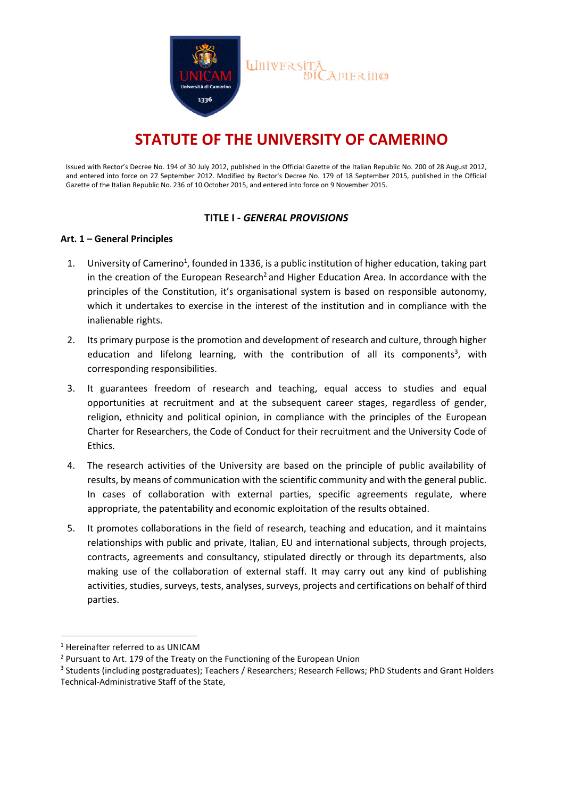

# **STATUTE OF THE UNIVERSITY OF CAMERINO**

Issued with Rector's Decree No. 194 of 30 July 2012, published in the Official Gazette of the Italian Republic No. 200 of 28 August 2012, and entered into force on 27 September 2012. Modified by Rector's Decree No. 179 of 18 September 2015, published in the Official Gazette of the Italian Republic No. 236 of 10 October 2015, and entered into force on 9 November 2015.

## **TITLE I -** *GENERAL PROVISIONS*

## **Art. 1 – General Principles**

- 1. University of Camerino<sup>1</sup>, founded in 1336, is a public institution of higher education, taking part in the creation of the European Research<sup>2</sup> and Higher Education Area. In accordance with the principles of the Constitution, it's organisational system is based on responsible autonomy, which it undertakes to exercise in the interest of the institution and in compliance with the inalienable rights.
- 2. Its primary purpose is the promotion and development of research and culture, through higher education and lifelong learning, with the contribution of all its components<sup>3</sup>, with corresponding responsibilities.
- 3. It guarantees freedom of research and teaching, equal access to studies and equal opportunities at recruitment and at the subsequent career stages, regardless of gender, religion, ethnicity and political opinion, in compliance with the principles of the European Charter for Researchers, the Code of Conduct for their recruitment and the University Code of Ethics.
- 4. The research activities of the University are based on the principle of public availability of results, by means of communication with the scientific community and with the general public. In cases of collaboration with external parties, specific agreements regulate, where appropriate, the patentability and economic exploitation of the results obtained.
- 5. It promotes collaborations in the field of research, teaching and education, and it maintains relationships with public and private, Italian, EU and international subjects, through projects, contracts, agreements and consultancy, stipulated directly or through its departments, also making use of the collaboration of external staff. It may carry out any kind of publishing activities, studies, surveys, tests, analyses, surveys, projects and certifications on behalf of third parties.

<sup>1</sup> Hereinafter referred to as UNICAM

<sup>2</sup> Pursuant to Art. 179 of the Treaty on the Functioning of the European Union

<sup>&</sup>lt;sup>3</sup> Students (including postgraduates); Teachers / Researchers; Research Fellows; PhD Students and Grant Holders Technical-Administrative Staff of the State,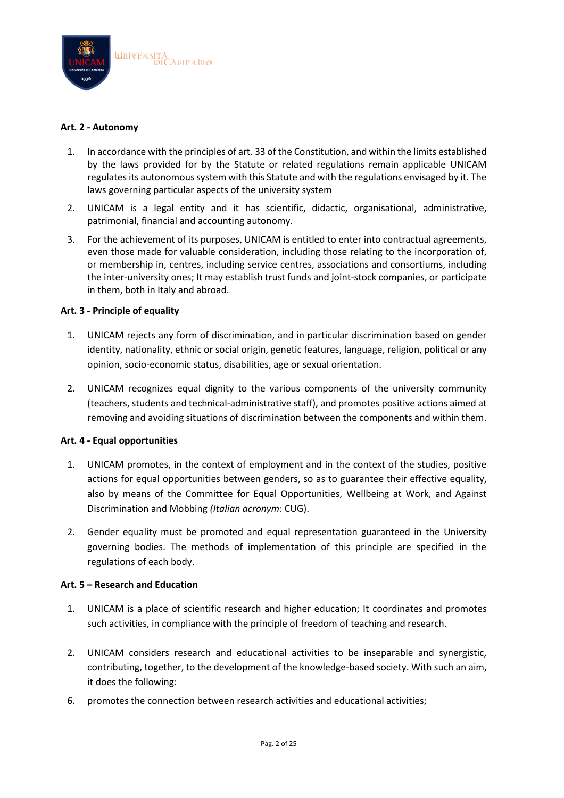

### **Art. 2 - Autonomy**

- 1. In accordance with the principles of art. 33 of the Constitution, and within the limits established by the laws provided for by the Statute or related regulations remain applicable UNICAM regulates its autonomous system with this Statute and with the regulations envisaged by it. The laws governing particular aspects of the university system
- 2. UNICAM is a legal entity and it has scientific, didactic, organisational, administrative, patrimonial, financial and accounting autonomy.
- 3. For the achievement of its purposes, UNICAM is entitled to enter into contractual agreements, even those made for valuable consideration, including those relating to the incorporation of, or membership in, centres, including service centres, associations and consortiums, including the inter-university ones; It may establish trust funds and joint-stock companies, or participate in them, both in Italy and abroad.

## **Art. 3 - Principle of equality**

- 1. UNICAM rejects any form of discrimination, and in particular discrimination based on gender identity, nationality, ethnic or social origin, genetic features, language, religion, political or any opinion, socio-economic status, disabilities, age or sexual orientation.
- 2. UNICAM recognizes equal dignity to the various components of the university community (teachers, students and technical-administrative staff), and promotes positive actions aimed at removing and avoiding situations of discrimination between the components and within them.

#### **Art. 4 - Equal opportunities**

- 1. UNICAM promotes, in the context of employment and in the context of the studies, positive actions for equal opportunities between genders, so as to guarantee their effective equality, also by means of the Committee for Equal Opportunities, Wellbeing at Work, and Against Discrimination and Mobbing *(Italian acronym*: CUG).
- 2. Gender equality must be promoted and equal representation guaranteed in the University governing bodies. The methods of implementation of this principle are specified in the regulations of each body.

#### **Art. 5 – Research and Education**

- 1. UNICAM is a place of scientific research and higher education; It coordinates and promotes such activities, in compliance with the principle of freedom of teaching and research.
- 2. UNICAM considers research and educational activities to be inseparable and synergistic, contributing, together, to the development of the knowledge-based society. With such an aim, it does the following:
- 6. promotes the connection between research activities and educational activities;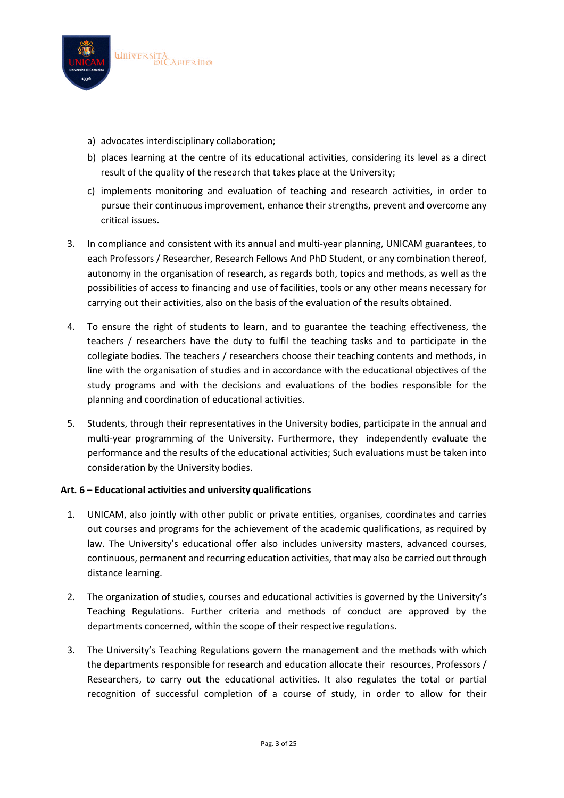

- a) advocates interdisciplinary collaboration;
- b) places learning at the centre of its educational activities, considering its level as a direct result of the quality of the research that takes place at the University;
- c) implements monitoring and evaluation of teaching and research activities, in order to pursue their continuous improvement, enhance their strengths, prevent and overcome any critical issues.
- 3. In compliance and consistent with its annual and multi-year planning, UNICAM guarantees, to each Professors / Researcher, Research Fellows And PhD Student, or any combination thereof, autonomy in the organisation of research, as regards both, topics and methods, as well as the possibilities of access to financing and use of facilities, tools or any other means necessary for carrying out their activities, also on the basis of the evaluation of the results obtained.
- 4. To ensure the right of students to learn, and to guarantee the teaching effectiveness, the teachers / researchers have the duty to fulfil the teaching tasks and to participate in the collegiate bodies. The teachers / researchers choose their teaching contents and methods, in line with the organisation of studies and in accordance with the educational objectives of the study programs and with the decisions and evaluations of the bodies responsible for the planning and coordination of educational activities.
- 5. Students, through their representatives in the University bodies, participate in the annual and multi-year programming of the University. Furthermore, they independently evaluate the performance and the results of the educational activities; Such evaluations must be taken into consideration by the University bodies.

## **Art. 6 – Educational activities and university qualifications**

- 1. UNICAM, also jointly with other public or private entities, organises, coordinates and carries out courses and programs for the achievement of the academic qualifications, as required by law. The University's educational offer also includes university masters, advanced courses, continuous, permanent and recurring education activities, that may also be carried out through distance learning.
- 2. The organization of studies, courses and educational activities is governed by the University's Teaching Regulations. Further criteria and methods of conduct are approved by the departments concerned, within the scope of their respective regulations.
- 3. The University's Teaching Regulations govern the management and the methods with which the departments responsible for research and education allocate their resources, Professors / Researchers, to carry out the educational activities. It also regulates the total or partial recognition of successful completion of a course of study, in order to allow for their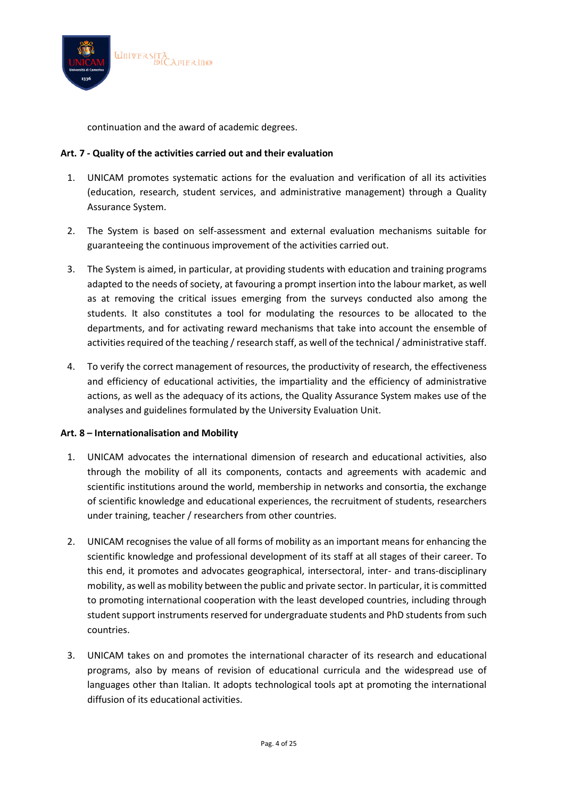

continuation and the award of academic degrees.

## **Art. 7 - Quality of the activities carried out and their evaluation**

- 1. UNICAM promotes systematic actions for the evaluation and verification of all its activities (education, research, student services, and administrative management) through a Quality Assurance System.
- 2. The System is based on self-assessment and external evaluation mechanisms suitable for guaranteeing the continuous improvement of the activities carried out.
- 3. The System is aimed, in particular, at providing students with education and training programs adapted to the needs of society, at favouring a prompt insertion into the labour market, as well as at removing the critical issues emerging from the surveys conducted also among the students. It also constitutes a tool for modulating the resources to be allocated to the departments, and for activating reward mechanisms that take into account the ensemble of activities required of the teaching / research staff, as well of the technical / administrative staff.
- 4. To verify the correct management of resources, the productivity of research, the effectiveness and efficiency of educational activities, the impartiality and the efficiency of administrative actions, as well as the adequacy of its actions, the Quality Assurance System makes use of the analyses and guidelines formulated by the University Evaluation Unit.

#### **Art. 8 – Internationalisation and Mobility**

- 1. UNICAM advocates the international dimension of research and educational activities, also through the mobility of all its components, contacts and agreements with academic and scientific institutions around the world, membership in networks and consortia, the exchange of scientific knowledge and educational experiences, the recruitment of students, researchers under training, teacher / researchers from other countries.
- 2. UNICAM recognises the value of all forms of mobility as an important means for enhancing the scientific knowledge and professional development of its staff at all stages of their career. To this end, it promotes and advocates geographical, intersectoral, inter- and trans-disciplinary mobility, as well as mobility between the public and private sector. In particular, it is committed to promoting international cooperation with the least developed countries, including through student support instruments reserved for undergraduate students and PhD students from such countries.
- 3. UNICAM takes on and promotes the international character of its research and educational programs, also by means of revision of educational curricula and the widespread use of languages other than Italian. It adopts technological tools apt at promoting the international diffusion of its educational activities.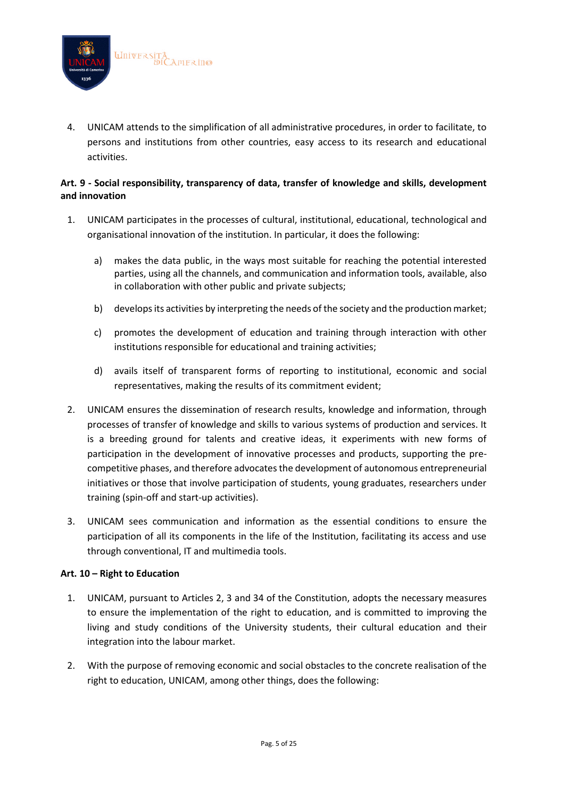

4. UNICAM attends to the simplification of all administrative procedures, in order to facilitate, to persons and institutions from other countries, easy access to its research and educational activities.

## **Art. 9 - Social responsibility, transparency of data, transfer of knowledge and skills, development and innovation**

- 1. UNICAM participates in the processes of cultural, institutional, educational, technological and organisational innovation of the institution. In particular, it does the following:
	- a) makes the data public, in the ways most suitable for reaching the potential interested parties, using all the channels, and communication and information tools, available, also in collaboration with other public and private subjects;
	- b) develops its activities by interpreting the needs of the society and the production market;
	- c) promotes the development of education and training through interaction with other institutions responsible for educational and training activities;
	- d) avails itself of transparent forms of reporting to institutional, economic and social representatives, making the results of its commitment evident;
- 2. UNICAM ensures the dissemination of research results, knowledge and information, through processes of transfer of knowledge and skills to various systems of production and services. It is a breeding ground for talents and creative ideas, it experiments with new forms of participation in the development of innovative processes and products, supporting the precompetitive phases, and therefore advocates the development of autonomous entrepreneurial initiatives or those that involve participation of students, young graduates, researchers under training (spin-off and start-up activities).
- 3. UNICAM sees communication and information as the essential conditions to ensure the participation of all its components in the life of the Institution, facilitating its access and use through conventional, IT and multimedia tools.

## **Art. 10 – Right to Education**

- 1. UNICAM, pursuant to Articles 2, 3 and 34 of the Constitution, adopts the necessary measures to ensure the implementation of the right to education, and is committed to improving the living and study conditions of the University students, their cultural education and their integration into the labour market.
- 2. With the purpose of removing economic and social obstacles to the concrete realisation of the right to education, UNICAM, among other things, does the following: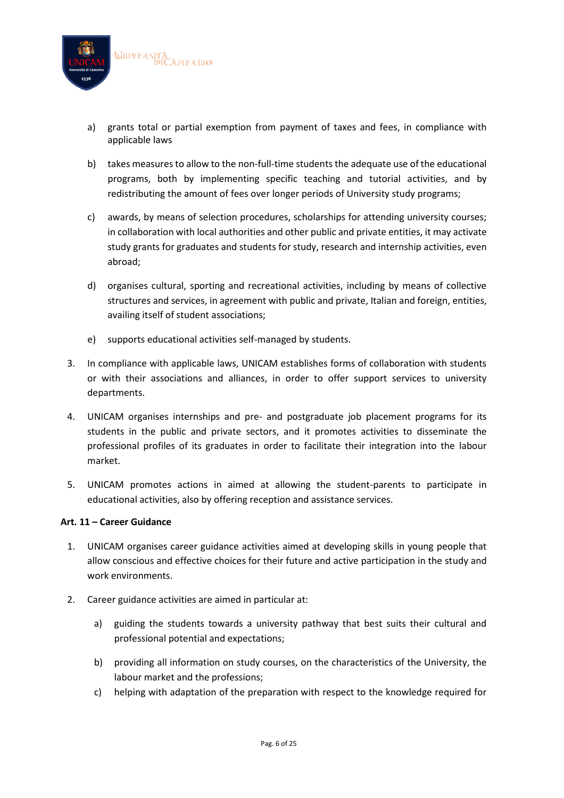

- a) grants total or partial exemption from payment of taxes and fees, in compliance with applicable laws
- b) takes measures to allow to the non-full-time students the adequate use of the educational programs, both by implementing specific teaching and tutorial activities, and by redistributing the amount of fees over longer periods of University study programs;
- c) awards, by means of selection procedures, scholarships for attending university courses; in collaboration with local authorities and other public and private entities, it may activate study grants for graduates and students for study, research and internship activities, even abroad;
- d) organises cultural, sporting and recreational activities, including by means of collective structures and services, in agreement with public and private, Italian and foreign, entities, availing itself of student associations;
- e) supports educational activities self-managed by students.
- 3. In compliance with applicable laws, UNICAM establishes forms of collaboration with students or with their associations and alliances, in order to offer support services to university departments.
- 4. UNICAM organises internships and pre- and postgraduate job placement programs for its students in the public and private sectors, and it promotes activities to disseminate the professional profiles of its graduates in order to facilitate their integration into the labour market.
- 5. UNICAM promotes actions in aimed at allowing the student-parents to participate in educational activities, also by offering reception and assistance services.

#### **Art. 11 – Career Guidance**

- 1. UNICAM organises career guidance activities aimed at developing skills in young people that allow conscious and effective choices for their future and active participation in the study and work environments.
- 2. Career guidance activities are aimed in particular at:
	- a) guiding the students towards a university pathway that best suits their cultural and professional potential and expectations;
	- b) providing all information on study courses, on the characteristics of the University, the labour market and the professions;
	- c) helping with adaptation of the preparation with respect to the knowledge required for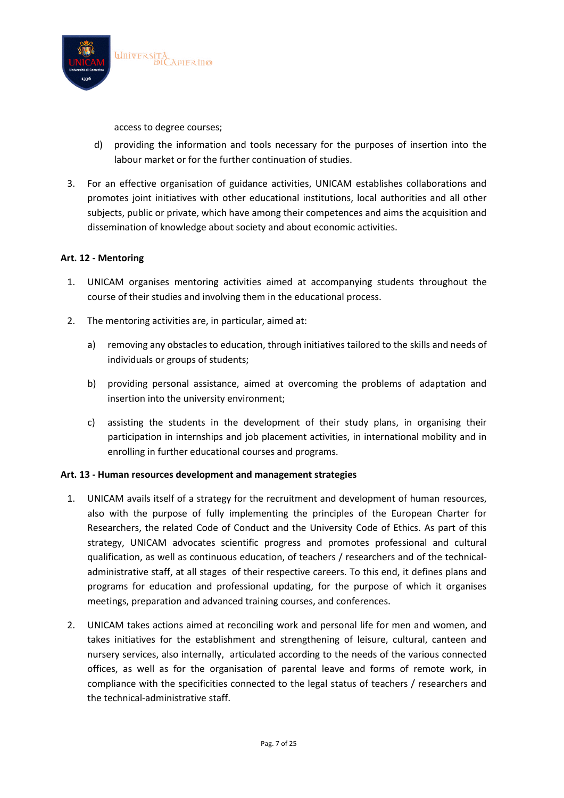

access to degree courses;

- d) providing the information and tools necessary for the purposes of insertion into the labour market or for the further continuation of studies.
- 3. For an effective organisation of guidance activities, UNICAM establishes collaborations and promotes joint initiatives with other educational institutions, local authorities and all other subjects, public or private, which have among their competences and aims the acquisition and dissemination of knowledge about society and about economic activities.

## **Art. 12 - Mentoring**

- 1. UNICAM organises mentoring activities aimed at accompanying students throughout the course of their studies and involving them in the educational process.
- 2. The mentoring activities are, in particular, aimed at:
	- a) removing any obstacles to education, through initiatives tailored to the skills and needs of individuals or groups of students;
	- b) providing personal assistance, aimed at overcoming the problems of adaptation and insertion into the university environment;
	- c) assisting the students in the development of their study plans, in organising their participation in internships and job placement activities, in international mobility and in enrolling in further educational courses and programs.

#### **Art. 13 - Human resources development and management strategies**

- 1. UNICAM avails itself of a strategy for the recruitment and development of human resources, also with the purpose of fully implementing the principles of the European Charter for Researchers, the related Code of Conduct and the University Code of Ethics. As part of this strategy, UNICAM advocates scientific progress and promotes professional and cultural qualification, as well as continuous education, of teachers / researchers and of the technicaladministrative staff, at all stages of their respective careers. To this end, it defines plans and programs for education and professional updating, for the purpose of which it organises meetings, preparation and advanced training courses, and conferences.
- 2. UNICAM takes actions aimed at reconciling work and personal life for men and women, and takes initiatives for the establishment and strengthening of leisure, cultural, canteen and nursery services, also internally, articulated according to the needs of the various connected offices, as well as for the organisation of parental leave and forms of remote work, in compliance with the specificities connected to the legal status of teachers / researchers and the technical-administrative staff.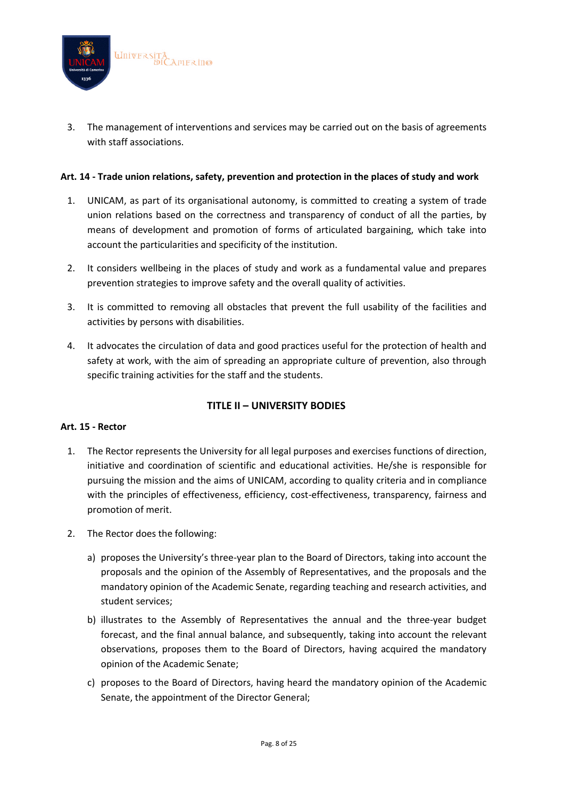

3. The management of interventions and services may be carried out on the basis of agreements with staff associations.

### **Art. 14 - Trade union relations, safety, prevention and protection in the places of study and work**

- 1. UNICAM, as part of its organisational autonomy, is committed to creating a system of trade union relations based on the correctness and transparency of conduct of all the parties, by means of development and promotion of forms of articulated bargaining, which take into account the particularities and specificity of the institution.
- 2. It considers wellbeing in the places of study and work as a fundamental value and prepares prevention strategies to improve safety and the overall quality of activities.
- 3. It is committed to removing all obstacles that prevent the full usability of the facilities and activities by persons with disabilities.
- 4. It advocates the circulation of data and good practices useful for the protection of health and safety at work, with the aim of spreading an appropriate culture of prevention, also through specific training activities for the staff and the students.

## **TITLE II – UNIVERSITY BODIES**

#### **Art. 15 - Rector**

- 1. The Rector represents the University for all legal purposes and exercises functions of direction, initiative and coordination of scientific and educational activities. He/she is responsible for pursuing the mission and the aims of UNICAM, according to quality criteria and in compliance with the principles of effectiveness, efficiency, cost-effectiveness, transparency, fairness and promotion of merit.
- 2. The Rector does the following:
	- a) proposes the University's three-year plan to the Board of Directors, taking into account the proposals and the opinion of the Assembly of Representatives, and the proposals and the mandatory opinion of the Academic Senate, regarding teaching and research activities, and student services;
	- b) illustrates to the Assembly of Representatives the annual and the three-year budget forecast, and the final annual balance, and subsequently, taking into account the relevant observations, proposes them to the Board of Directors, having acquired the mandatory opinion of the Academic Senate;
	- c) proposes to the Board of Directors, having heard the mandatory opinion of the Academic Senate, the appointment of the Director General;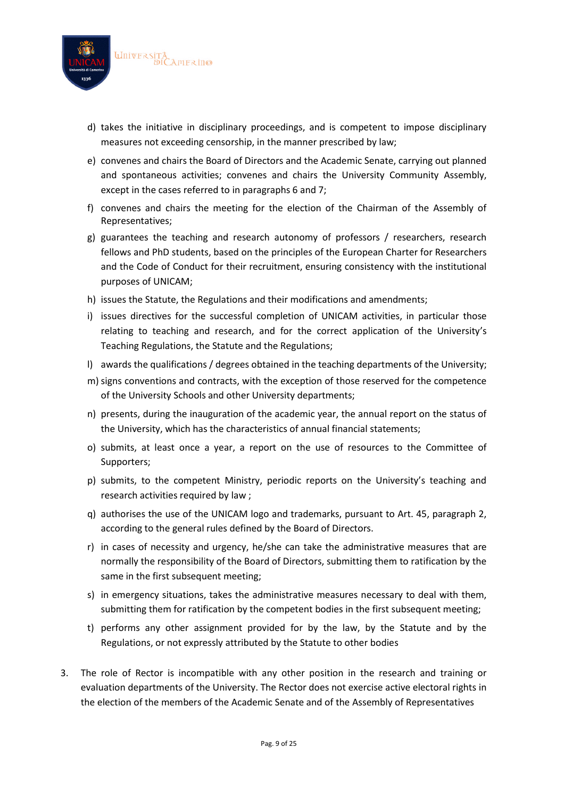

- d) takes the initiative in disciplinary proceedings, and is competent to impose disciplinary measures not exceeding censorship, in the manner prescribed by law;
- e) convenes and chairs the Board of Directors and the Academic Senate, carrying out planned and spontaneous activities; convenes and chairs the University Community Assembly, except in the cases referred to in paragraphs 6 and 7;
- f) convenes and chairs the meeting for the election of the Chairman of the Assembly of Representatives;
- g) guarantees the teaching and research autonomy of professors / researchers, research fellows and PhD students, based on the principles of the European Charter for Researchers and the Code of Conduct for their recruitment, ensuring consistency with the institutional purposes of UNICAM;
- h) issues the Statute, the Regulations and their modifications and amendments;
- i) issues directives for the successful completion of UNICAM activities, in particular those relating to teaching and research, and for the correct application of the University's Teaching Regulations, the Statute and the Regulations;
- l) awards the qualifications / degrees obtained in the teaching departments of the University;
- m) signs conventions and contracts, with the exception of those reserved for the competence of the University Schools and other University departments;
- n) presents, during the inauguration of the academic year, the annual report on the status of the University, which has the characteristics of annual financial statements;
- o) submits, at least once a year, a report on the use of resources to the Committee of Supporters;
- p) submits, to the competent Ministry, periodic reports on the University's teaching and research activities required by law ;
- q) authorises the use of the UNICAM logo and trademarks, pursuant to Art. 45, paragraph 2, according to the general rules defined by the Board of Directors.
- r) in cases of necessity and urgency, he/she can take the administrative measures that are normally the responsibility of the Board of Directors, submitting them to ratification by the same in the first subsequent meeting;
- s) in emergency situations, takes the administrative measures necessary to deal with them, submitting them for ratification by the competent bodies in the first subsequent meeting;
- t) performs any other assignment provided for by the law, by the Statute and by the Regulations, or not expressly attributed by the Statute to other bodies
- 3. The role of Rector is incompatible with any other position in the research and training or evaluation departments of the University. The Rector does not exercise active electoral rights in the election of the members of the Academic Senate and of the Assembly of Representatives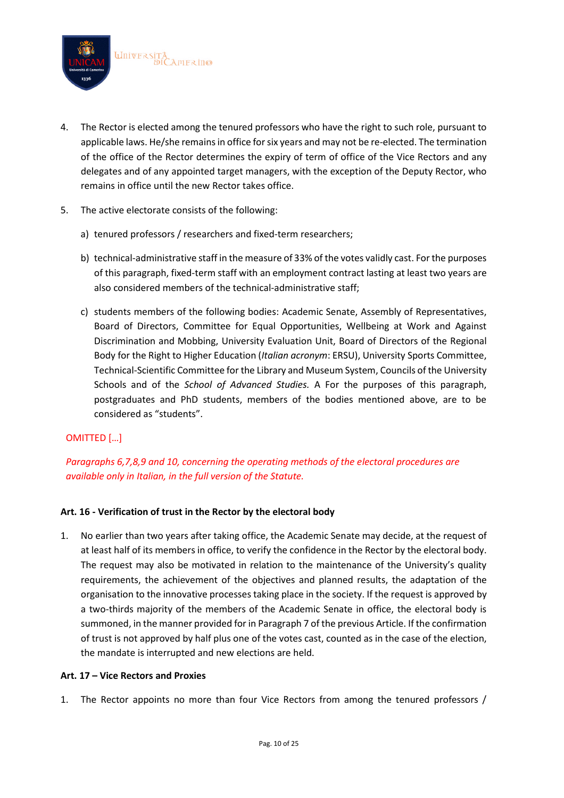

- 4. The Rector is elected among the tenured professors who have the right to such role, pursuant to applicable laws. He/she remains in office for six years and may not be re-elected. The termination of the office of the Rector determines the expiry of term of office of the Vice Rectors and any delegates and of any appointed target managers, with the exception of the Deputy Rector, who remains in office until the new Rector takes office.
- 5. The active electorate consists of the following:
	- a) tenured professors / researchers and fixed-term researchers;
	- b) technical-administrative staff in the measure of 33% of the votes validly cast. For the purposes of this paragraph, fixed-term staff with an employment contract lasting at least two years are also considered members of the technical-administrative staff;
	- c) students members of the following bodies: Academic Senate, Assembly of Representatives, Board of Directors, Committee for Equal Opportunities, Wellbeing at Work and Against Discrimination and Mobbing, University Evaluation Unit, Board of Directors of the Regional Body for the Right to Higher Education (*Italian acronym*: ERSU), University Sports Committee, Technical-Scientific Committee for the Library and Museum System, Councils of the University Schools and of the *School of Advanced Studies.* A For the purposes of this paragraph, postgraduates and PhD students, members of the bodies mentioned above, are to be considered as "students".

## OMITTED […]

# *Paragraphs 6,7,8,9 and 10, concerning the operating methods of the electoral procedures are available only in Italian, in the full version of the Statute.*

## **Art. 16 - Verification of trust in the Rector by the electoral body**

1. No earlier than two years after taking office, the Academic Senate may decide, at the request of at least half of its members in office, to verify the confidence in the Rector by the electoral body. The request may also be motivated in relation to the maintenance of the University's quality requirements, the achievement of the objectives and planned results, the adaptation of the organisation to the innovative processes taking place in the society. If the request is approved by a two-thirds majority of the members of the Academic Senate in office, the electoral body is summoned, in the manner provided for in Paragraph 7 of the previous Article. If the confirmation of trust is not approved by half plus one of the votes cast, counted as in the case of the election, the mandate is interrupted and new elections are held.

#### **Art. 17 – Vice Rectors and Proxies**

1. The Rector appoints no more than four Vice Rectors from among the tenured professors /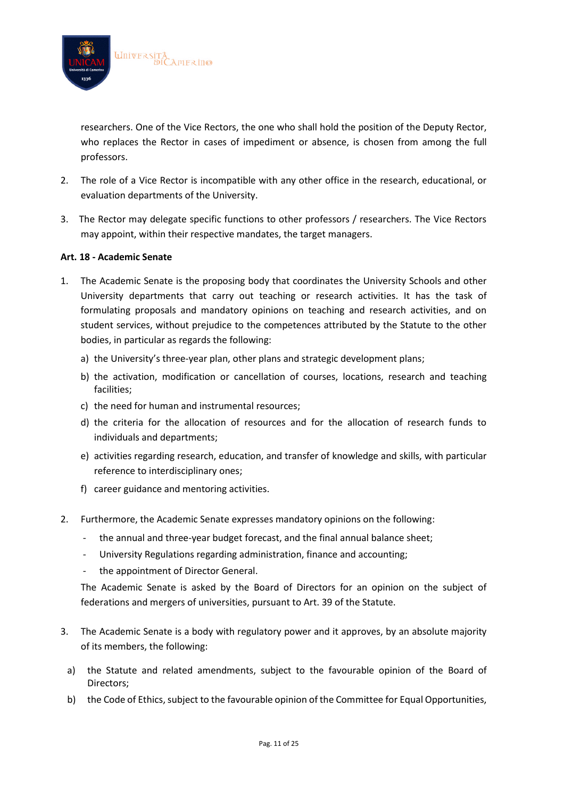

researchers. One of the Vice Rectors, the one who shall hold the position of the Deputy Rector, who replaces the Rector in cases of impediment or absence, is chosen from among the full professors.

- 2. The role of a Vice Rector is incompatible with any other office in the research, educational, or evaluation departments of the University.
- 3. The Rector may delegate specific functions to other professors / researchers. The Vice Rectors may appoint, within their respective mandates, the target managers.

#### **Art. 18 - Academic Senate**

- 1. The Academic Senate is the proposing body that coordinates the University Schools and other University departments that carry out teaching or research activities. It has the task of formulating proposals and mandatory opinions on teaching and research activities, and on student services, without prejudice to the competences attributed by the Statute to the other bodies, in particular as regards the following:
	- a) the University's three-year plan, other plans and strategic development plans;
	- b) the activation, modification or cancellation of courses, locations, research and teaching facilities;
	- c) the need for human and instrumental resources;
	- d) the criteria for the allocation of resources and for the allocation of research funds to individuals and departments;
	- e) activities regarding research, education, and transfer of knowledge and skills, with particular reference to interdisciplinary ones;
	- f) career guidance and mentoring activities.
- 2. Furthermore, the Academic Senate expresses mandatory opinions on the following:
	- the annual and three-year budget forecast, and the final annual balance sheet;
	- University Regulations regarding administration, finance and accounting;
	- the appointment of Director General.

The Academic Senate is asked by the Board of Directors for an opinion on the subject of federations and mergers of universities, pursuant to Art. 39 of the Statute.

- 3. The Academic Senate is a body with regulatory power and it approves, by an absolute majority of its members, the following:
	- a) the Statute and related amendments, subject to the favourable opinion of the Board of Directors;
	- b) the Code of Ethics, subject to the favourable opinion of the Committee for Equal Opportunities,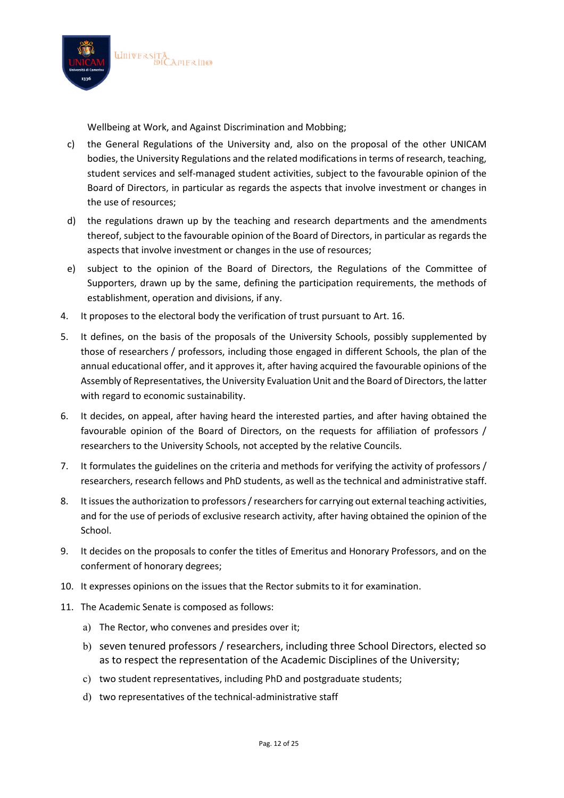

Wellbeing at Work, and Against Discrimination and Mobbing;

- c) the General Regulations of the University and, also on the proposal of the other UNICAM bodies, the University Regulations and the related modifications in terms of research, teaching, student services and self-managed student activities, subject to the favourable opinion of the Board of Directors, in particular as regards the aspects that involve investment or changes in the use of resources;
- d) the regulations drawn up by the teaching and research departments and the amendments thereof, subject to the favourable opinion of the Board of Directors, in particular as regards the aspects that involve investment or changes in the use of resources;
- e) subject to the opinion of the Board of Directors, the Regulations of the Committee of Supporters, drawn up by the same, defining the participation requirements, the methods of establishment, operation and divisions, if any.
- 4. It proposes to the electoral body the verification of trust pursuant to Art. 16.
- 5. It defines, on the basis of the proposals of the University Schools, possibly supplemented by those of researchers / professors, including those engaged in different Schools, the plan of the annual educational offer, and it approves it, after having acquired the favourable opinions of the Assembly of Representatives, the University Evaluation Unit and the Board of Directors, the latter with regard to economic sustainability.
- 6. It decides, on appeal, after having heard the interested parties, and after having obtained the favourable opinion of the Board of Directors, on the requests for affiliation of professors / researchers to the University Schools, not accepted by the relative Councils.
- 7. It formulates the guidelines on the criteria and methods for verifying the activity of professors / researchers, research fellows and PhD students, as well as the technical and administrative staff.
- 8. It issues the authorization to professors / researchers for carrying out external teaching activities, and for the use of periods of exclusive research activity, after having obtained the opinion of the School.
- 9. It decides on the proposals to confer the titles of Emeritus and Honorary Professors, and on the conferment of honorary degrees;
- 10. It expresses opinions on the issues that the Rector submits to it for examination.
- 11. The Academic Senate is composed as follows:
	- a) The Rector, who convenes and presides over it;
	- b) seven tenured professors / researchers, including three School Directors, elected so as to respect the representation of the Academic Disciplines of the University;
	- c) two student representatives, including PhD and postgraduate students;
	- d) two representatives of the technical-administrative staff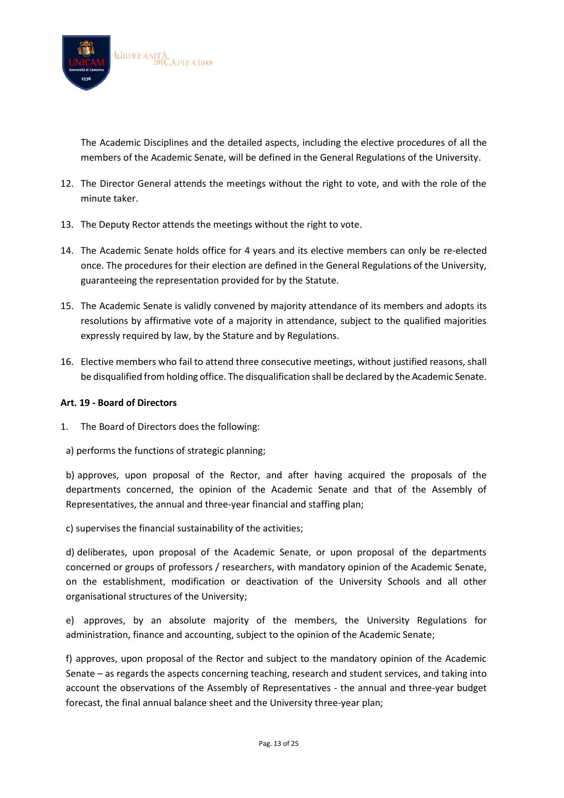

The Academic Disciplines and the detailed aspects, including the elective procedures of all the members of the Academic Senate, will be defined in the General Regulations of the University.

- 12. The Director General attends the meetings without the right to vote, and with the role of the minute taker.
- 13. The Deputy Rector attends the meetings without the right to vote.
- 14. The Academic Senate holds office for 4 years and its elective members can only be re-elected once. The procedures for their election are defined in the General Regulations of the University, guaranteeing the representation provided for by the Statute.
- 15. The Academic Senate is validly convened by majority attendance of its members and adopts its resolutions by affirmative vote of a majority in attendance, subject to the qualified majorities expressly required by law, by the Stature and by Regulations.
- 16. Elective members who fail to attend three consecutive meetings, without justified reasons, shall be disqualified from holding office. The disqualification shall be declared by the Academic Senate.

### **Art. 19 - Board of Directors**

- 1. The Board of Directors does the following:
- a) performs the functions of strategic planning;

b) approves, upon proposal of the Rector, and after having acquired the proposals of the departments concerned, the opinion of the Academic Senate and that of the Assembly of Representatives, the annual and three-year financial and staffing plan;

c) supervises the financial sustainability of the activities;

d) deliberates, upon proposal of the Academic Senate, or upon proposal of the departments concerned or groups of professors / researchers, with mandatory opinion of the Academic Senate, on the establishment, modification or deactivation of the University Schools and all other organisational structures of the University;

e) approves, by an absolute majority of the members, the University Regulations for administration, finance and accounting, subject to the opinion of the Academic Senate;

f) approves, upon proposal of the Rector and subject to the mandatory opinion of the Academic Senate – as regards the aspects concerning teaching, research and student services, and taking into account the observations of the Assembly of Representatives - the annual and three-year budget forecast, the final annual balance sheet and the University three-year plan;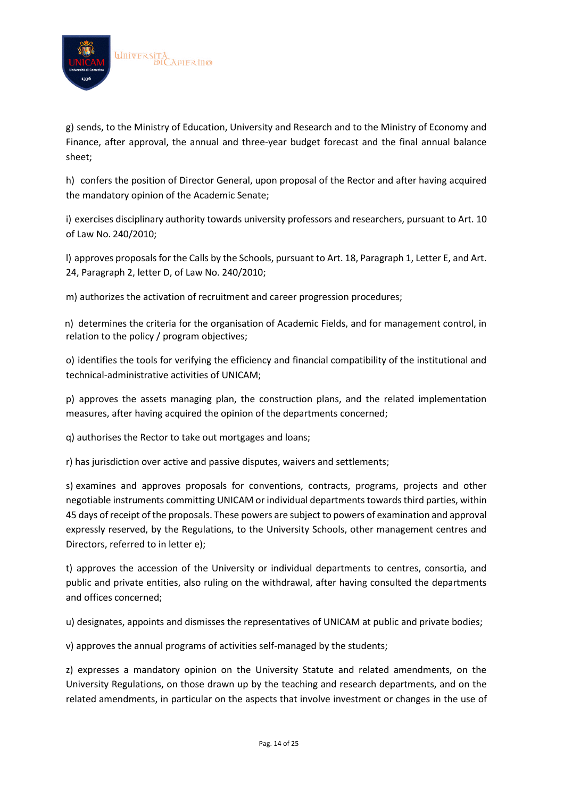

g) sends, to the Ministry of Education, University and Research and to the Ministry of Economy and Finance, after approval, the annual and three-year budget forecast and the final annual balance sheet;

h) confers the position of Director General, upon proposal of the Rector and after having acquired the mandatory opinion of the Academic Senate;

i) exercises disciplinary authority towards university professors and researchers, pursuant to Art. 10 of Law No. 240/2010;

l) approves proposals for the Calls by the Schools, pursuant to Art. 18, Paragraph 1, Letter E, and Art. 24, Paragraph 2, letter D, of Law No. 240/2010;

m) authorizes the activation of recruitment and career progression procedures;

n) determines the criteria for the organisation of Academic Fields, and for management control, in relation to the policy / program objectives;

o) identifies the tools for verifying the efficiency and financial compatibility of the institutional and technical-administrative activities of UNICAM;

p) approves the assets managing plan, the construction plans, and the related implementation measures, after having acquired the opinion of the departments concerned;

q) authorises the Rector to take out mortgages and loans;

r) has jurisdiction over active and passive disputes, waivers and settlements;

s) examines and approves proposals for conventions, contracts, programs, projects and other negotiable instruments committing UNICAM or individual departments towardsthird parties, within 45 days of receipt of the proposals. These powers are subject to powers of examination and approval expressly reserved, by the Regulations, to the University Schools, other management centres and Directors, referred to in letter e);

t) approves the accession of the University or individual departments to centres, consortia, and public and private entities, also ruling on the withdrawal, after having consulted the departments and offices concerned;

u) designates, appoints and dismisses the representatives of UNICAM at public and private bodies;

v) approves the annual programs of activities self-managed by the students;

z) expresses a mandatory opinion on the University Statute and related amendments, on the University Regulations, on those drawn up by the teaching and research departments, and on the related amendments, in particular on the aspects that involve investment or changes in the use of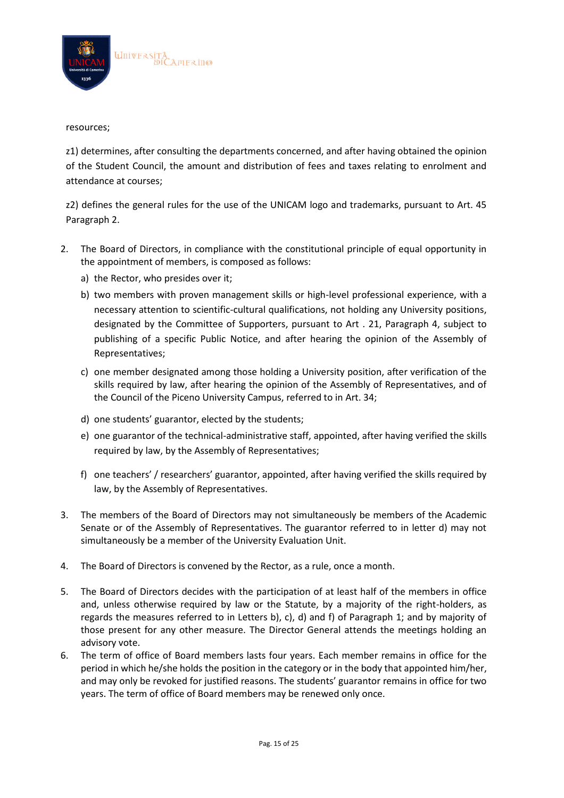

#### resources;

z1) determines, after consulting the departments concerned, and after having obtained the opinion of the Student Council, the amount and distribution of fees and taxes relating to enrolment and attendance at courses;

z2) defines the general rules for the use of the UNICAM logo and trademarks, pursuant to Art. 45 Paragraph 2.

- 2. The Board of Directors, in compliance with the constitutional principle of equal opportunity in the appointment of members, is composed as follows:
	- a) the Rector, who presides over it;
	- b) two members with proven management skills or high-level professional experience, with a necessary attention to scientific-cultural qualifications, not holding any University positions, designated by the Committee of Supporters, pursuant to Art . 21, Paragraph 4, subject to publishing of a specific Public Notice, and after hearing the opinion of the Assembly of Representatives;
	- c) one member designated among those holding a University position, after verification of the skills required by law, after hearing the opinion of the Assembly of Representatives, and of the Council of the Piceno University Campus, referred to in Art. 34;
	- d) one students' guarantor, elected by the students;
	- e) one guarantor of the technical-administrative staff, appointed, after having verified the skills required by law, by the Assembly of Representatives;
	- f) one teachers' / researchers' guarantor, appointed, after having verified the skills required by law, by the Assembly of Representatives.
- 3. The members of the Board of Directors may not simultaneously be members of the Academic Senate or of the Assembly of Representatives. The guarantor referred to in letter d) may not simultaneously be a member of the University Evaluation Unit.
- 4. The Board of Directors is convened by the Rector, as a rule, once a month.
- 5. The Board of Directors decides with the participation of at least half of the members in office and, unless otherwise required by law or the Statute, by a majority of the right-holders, as regards the measures referred to in Letters b), c), d) and f) of Paragraph 1; and by majority of those present for any other measure. The Director General attends the meetings holding an advisory vote.
- 6. The term of office of Board members lasts four years. Each member remains in office for the period in which he/she holds the position in the category or in the body that appointed him/her, and may only be revoked for justified reasons. The students' guarantor remains in office for two years. The term of office of Board members may be renewed only once.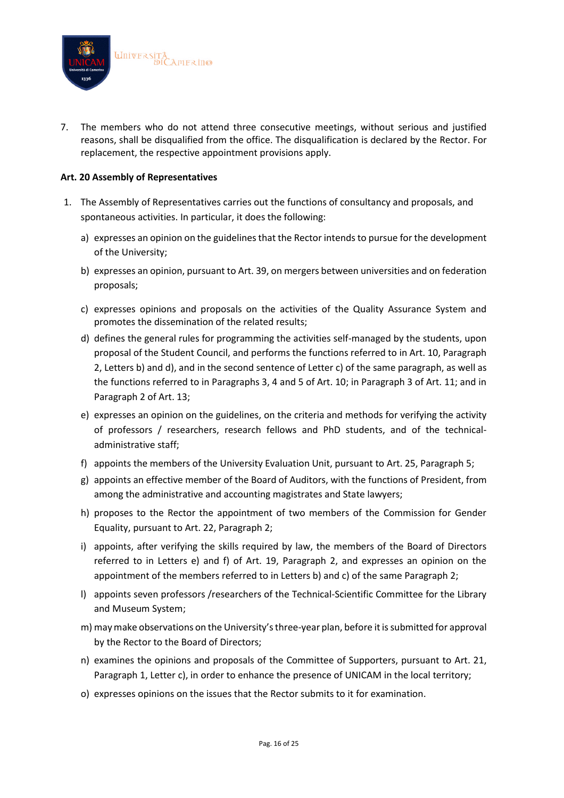

7. The members who do not attend three consecutive meetings, without serious and justified reasons, shall be disqualified from the office. The disqualification is declared by the Rector. For replacement, the respective appointment provisions apply.

## **Art. 20 Assembly of Representatives**

- 1. The Assembly of Representatives carries out the functions of consultancy and proposals, and spontaneous activities. In particular, it does the following:
	- a) expresses an opinion on the guidelines that the Rector intends to pursue for the development of the University;
	- b) expresses an opinion, pursuant to Art. 39, on mergers between universities and on federation proposals;
	- c) expresses opinions and proposals on the activities of the Quality Assurance System and promotes the dissemination of the related results;
	- d) defines the general rules for programming the activities self-managed by the students, upon proposal of the Student Council, and performs the functions referred to in Art. 10, Paragraph 2, Letters b) and d), and in the second sentence of Letter c) of the same paragraph, as well as the functions referred to in Paragraphs 3, 4 and 5 of Art. 10; in Paragraph 3 of Art. 11; and in Paragraph 2 of Art. 13;
	- e) expresses an opinion on the guidelines, on the criteria and methods for verifying the activity of professors / researchers, research fellows and PhD students, and of the technicaladministrative staff;
	- f) appoints the members of the University Evaluation Unit, pursuant to Art. 25, Paragraph 5;
	- g) appoints an effective member of the Board of Auditors, with the functions of President, from among the administrative and accounting magistrates and State lawyers;
	- h) proposes to the Rector the appointment of two members of the Commission for Gender Equality, pursuant to Art. 22, Paragraph 2;
	- i) appoints, after verifying the skills required by law, the members of the Board of Directors referred to in Letters e) and f) of Art. 19, Paragraph 2, and expresses an opinion on the appointment of the members referred to in Letters b) and c) of the same Paragraph 2;
	- l) appoints seven professors /researchers of the Technical-Scientific Committee for the Library and Museum System;
	- m) may make observations on the University's three-year plan, before it is submitted for approval by the Rector to the Board of Directors;
	- n) examines the opinions and proposals of the Committee of Supporters, pursuant to Art. 21, Paragraph 1, Letter c), in order to enhance the presence of UNICAM in the local territory;
	- o) expresses opinions on the issues that the Rector submits to it for examination.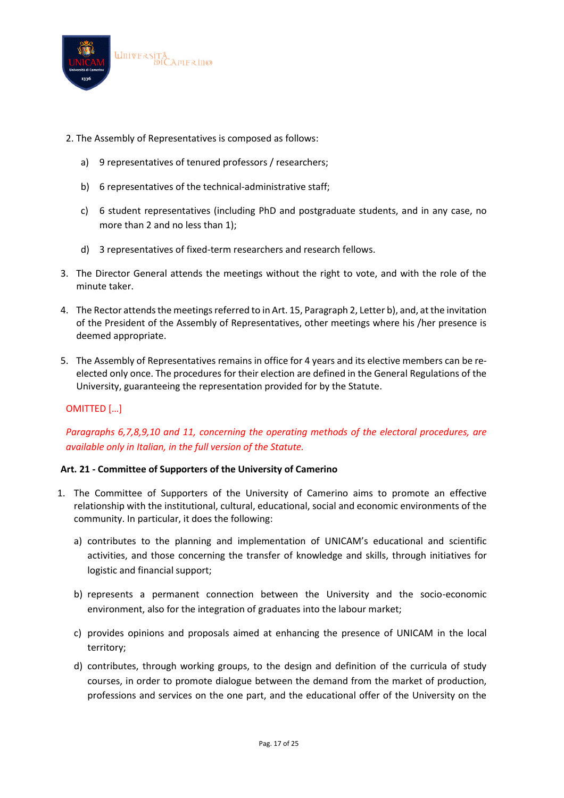

- 2. The Assembly of Representatives is composed as follows:
	- a) 9 representatives of tenured professors / researchers;
	- b) 6 representatives of the technical-administrative staff;
	- c) 6 student representatives (including PhD and postgraduate students, and in any case, no more than 2 and no less than 1);
	- d) 3 representatives of fixed-term researchers and research fellows.
- 3. The Director General attends the meetings without the right to vote, and with the role of the minute taker.
- 4. The Rector attends the meetings referred to in Art. 15, Paragraph 2, Letter b), and, at the invitation of the President of the Assembly of Representatives, other meetings where his /her presence is deemed appropriate.
- 5. The Assembly of Representatives remains in office for 4 years and its elective members can be reelected only once. The procedures for their election are defined in the General Regulations of the University, guaranteeing the representation provided for by the Statute.

## OMITTED […]

# *Paragraphs 6,7,8,9,10 and 11, concerning the operating methods of the electoral procedures, are available only in Italian, in the full version of the Statute.*

#### **Art. 21 - Committee of Supporters of the University of Camerino**

- 1. The Committee of Supporters of the University of Camerino aims to promote an effective relationship with the institutional, cultural, educational, social and economic environments of the community. In particular, it does the following:
	- a) contributes to the planning and implementation of UNICAM's educational and scientific activities, and those concerning the transfer of knowledge and skills, through initiatives for logistic and financial support;
	- b) represents a permanent connection between the University and the socio-economic environment, also for the integration of graduates into the labour market;
	- c) provides opinions and proposals aimed at enhancing the presence of UNICAM in the local territory;
	- d) contributes, through working groups, to the design and definition of the curricula of study courses, in order to promote dialogue between the demand from the market of production, professions and services on the one part, and the educational offer of the University on the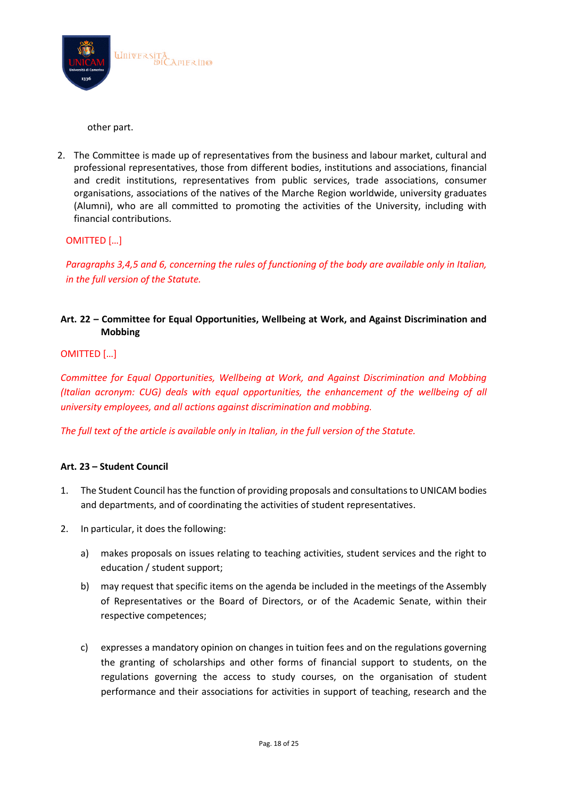

other part.

2. The Committee is made up of representatives from the business and labour market, cultural and professional representatives, those from different bodies, institutions and associations, financial and credit institutions, representatives from public services, trade associations, consumer organisations, associations of the natives of the Marche Region worldwide, university graduates (Alumni), who are all committed to promoting the activities of the University, including with financial contributions.

## OMITTED […]

*Paragraphs 3,4,5 and 6, concerning the rules of functioning of the body are available only in Italian, in the full version of the Statute.*

# **Art. 22 – Committee for Equal Opportunities, Wellbeing at Work, and Against Discrimination and Mobbing**

## OMITTED […]

*Committee for Equal Opportunities, Wellbeing at Work, and Against Discrimination and Mobbing (Italian acronym: CUG) deals with equal opportunities, the enhancement of the wellbeing of all university employees, and all actions against discrimination and mobbing.*

*The full text of the article is available only in Italian, in the full version of the Statute.*

## **Art. 23 – Student Council**

- 1. The Student Council has the function of providing proposals and consultations to UNICAM bodies and departments, and of coordinating the activities of student representatives.
- 2. In particular, it does the following:
	- a) makes proposals on issues relating to teaching activities, student services and the right to education / student support;
	- b) may request that specific items on the agenda be included in the meetings of the Assembly of Representatives or the Board of Directors, or of the Academic Senate, within their respective competences;
	- c) expresses a mandatory opinion on changes in tuition fees and on the regulations governing the granting of scholarships and other forms of financial support to students, on the regulations governing the access to study courses, on the organisation of student performance and their associations for activities in support of teaching, research and the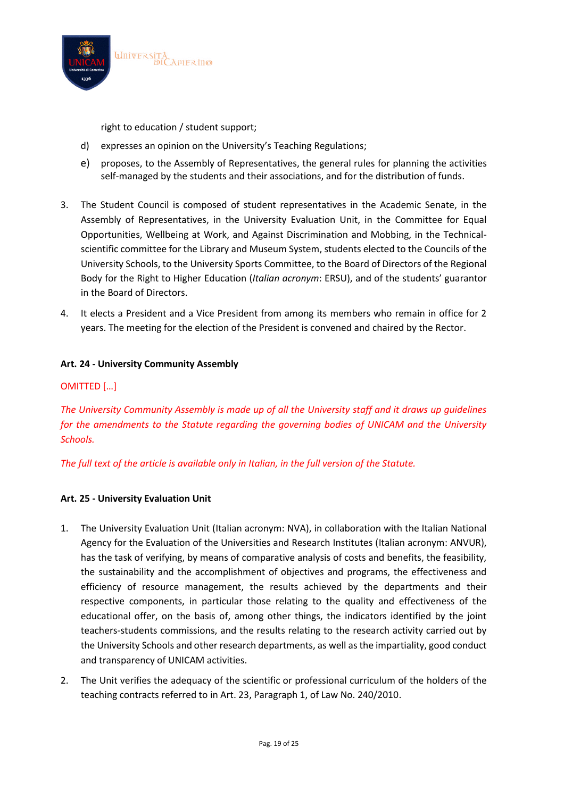

right to education / student support;

- d) expresses an opinion on the University's Teaching Regulations;
- e) proposes, to the Assembly of Representatives, the general rules for planning the activities self-managed by the students and their associations, and for the distribution of funds.
- 3. The Student Council is composed of student representatives in the Academic Senate, in the Assembly of Representatives, in the University Evaluation Unit, in the Committee for Equal Opportunities, Wellbeing at Work, and Against Discrimination and Mobbing, in the Technicalscientific committee for the Library and Museum System, students elected to the Councils of the University Schools, to the University Sports Committee, to the Board of Directors of the Regional Body for the Right to Higher Education (*Italian acronym*: ERSU), and of the students' guarantor in the Board of Directors.
- 4. It elects a President and a Vice President from among its members who remain in office for 2 years. The meeting for the election of the President is convened and chaired by the Rector.

## **Art. 24 - University Community Assembly**

## OMITTED […]

*The University Community Assembly is made up of all the University staff and it draws up guidelines for the amendments to the Statute regarding the governing bodies of UNICAM and the University Schools.*

*The full text of the article is available only in Italian, in the full version of the Statute.*

## **Art. 25 - University Evaluation Unit**

- 1. The University Evaluation Unit (Italian acronym: NVA), in collaboration with the Italian National Agency for the Evaluation of the Universities and Research Institutes (Italian acronym: ANVUR), has the task of verifying, by means of comparative analysis of costs and benefits, the feasibility, the sustainability and the accomplishment of objectives and programs, the effectiveness and efficiency of resource management, the results achieved by the departments and their respective components, in particular those relating to the quality and effectiveness of the educational offer, on the basis of, among other things, the indicators identified by the joint teachers-students commissions, and the results relating to the research activity carried out by the University Schools and other research departments, as well as the impartiality, good conduct and transparency of UNICAM activities.
- 2. The Unit verifies the adequacy of the scientific or professional curriculum of the holders of the teaching contracts referred to in Art. 23, Paragraph 1, of Law No. 240/2010.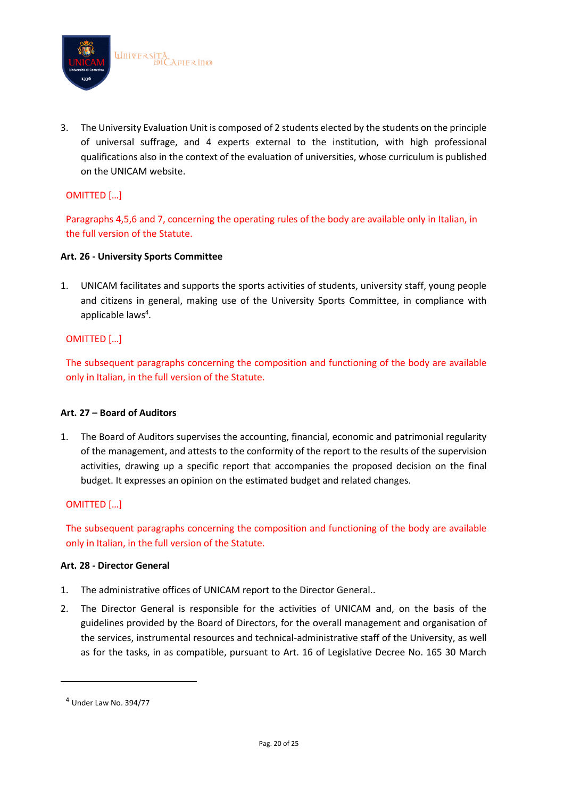

3. The University Evaluation Unit is composed of 2 students elected by the students on the principle of universal suffrage, and 4 experts external to the institution, with high professional qualifications also in the context of the evaluation of universities, whose curriculum is published on the UNICAM website.

# OMITTED […]

Paragraphs 4,5,6 and 7, concerning the operating rules of the body are available only in Italian, in the full version of the Statute.

## **Art. 26 - University Sports Committee**

1. UNICAM facilitates and supports the sports activities of students, university staff, young people and citizens in general, making use of the University Sports Committee, in compliance with applicable laws<sup>4</sup>.

## OMITTED […]

The subsequent paragraphs concerning the composition and functioning of the body are available only in Italian, in the full version of the Statute.

#### **Art. 27 – Board of Auditors**

1. The Board of Auditors supervises the accounting, financial, economic and patrimonial regularity of the management, and attests to the conformity of the report to the results of the supervision activities, drawing up a specific report that accompanies the proposed decision on the final budget. It expresses an opinion on the estimated budget and related changes.

#### OMITTED […]

The subsequent paragraphs concerning the composition and functioning of the body are available only in Italian, in the full version of the Statute.

#### **Art. 28 - Director General**

- 1. The administrative offices of UNICAM report to the Director General..
- 2. The Director General is responsible for the activities of UNICAM and, on the basis of the guidelines provided by the Board of Directors, for the overall management and organisation of the services, instrumental resources and technical-administrative staff of the University, as well as for the tasks, in as compatible, pursuant to Art. 16 of Legislative Decree No. 165 30 March

<sup>4</sup> Under Law No. 394/77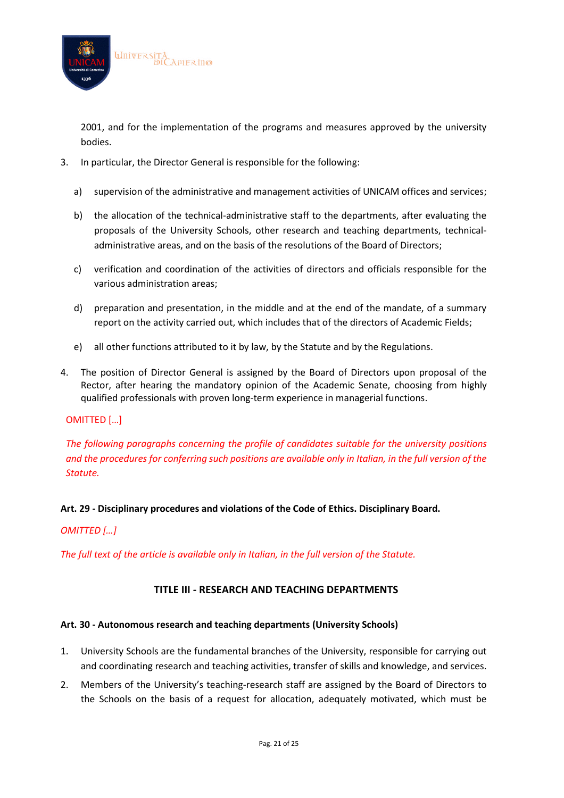

2001, and for the implementation of the programs and measures approved by the university bodies.

- 3. In particular, the Director General is responsible for the following:
	- a) supervision of the administrative and management activities of UNICAM offices and services;
	- b) the allocation of the technical-administrative staff to the departments, after evaluating the proposals of the University Schools, other research and teaching departments, technicaladministrative areas, and on the basis of the resolutions of the Board of Directors;
	- c) verification and coordination of the activities of directors and officials responsible for the various administration areas;
	- d) preparation and presentation, in the middle and at the end of the mandate, of a summary report on the activity carried out, which includes that of the directors of Academic Fields;
	- e) all other functions attributed to it by law, by the Statute and by the Regulations.
- 4. The position of Director General is assigned by the Board of Directors upon proposal of the Rector, after hearing the mandatory opinion of the Academic Senate, choosing from highly qualified professionals with proven long-term experience in managerial functions.

#### OMITTED […]

# *The following paragraphs concerning the profile of candidates suitable for the university positions and the procedures for conferring such positions are available only in Italian, in the full version of the Statute.*

**Art. 29 - Disciplinary procedures and violations of the Code of Ethics. Disciplinary Board.**

## *OMITTED […]*

*The full text of the article is available only in Italian, in the full version of the Statute.*

## **TITLE III - RESEARCH AND TEACHING DEPARTMENTS**

#### **Art. 30 - Autonomous research and teaching departments (University Schools)**

- 1. University Schools are the fundamental branches of the University, responsible for carrying out and coordinating research and teaching activities, transfer of skills and knowledge, and services.
- 2. Members of the University's teaching-research staff are assigned by the Board of Directors to the Schools on the basis of a request for allocation, adequately motivated, which must be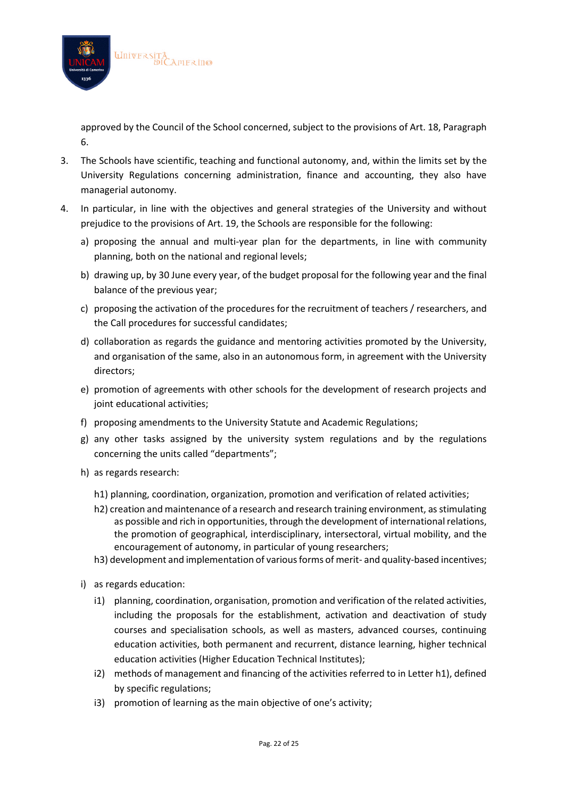

approved by the Council of the School concerned, subject to the provisions of Art. 18, Paragraph 6.

- 3. The Schools have scientific, teaching and functional autonomy, and, within the limits set by the University Regulations concerning administration, finance and accounting, they also have managerial autonomy.
- 4. In particular, in line with the objectives and general strategies of the University and without prejudice to the provisions of Art. 19, the Schools are responsible for the following:
	- a) proposing the annual and multi-year plan for the departments, in line with community planning, both on the national and regional levels;
	- b) drawing up, by 30 June every year, of the budget proposal for the following year and the final balance of the previous year;
	- c) proposing the activation of the procedures for the recruitment of teachers / researchers, and the Call procedures for successful candidates;
	- d) collaboration as regards the guidance and mentoring activities promoted by the University, and organisation of the same, also in an autonomous form, in agreement with the University directors;
	- e) promotion of agreements with other schools for the development of research projects and joint educational activities;
	- f) proposing amendments to the University Statute and Academic Regulations;
	- g) any other tasks assigned by the university system regulations and by the regulations concerning the units called "departments";
	- h) as regards research:
		- h1) planning, coordination, organization, promotion and verification of related activities;
		- h2) creation and maintenance of a research and research training environment, as stimulating as possible and rich in opportunities, through the development of international relations, the promotion of geographical, interdisciplinary, intersectoral, virtual mobility, and the encouragement of autonomy, in particular of young researchers;
		- h3) development and implementation of various forms of merit- and quality-based incentives;
	- i) as regards education:
		- i1) planning, coordination, organisation, promotion and verification of the related activities, including the proposals for the establishment, activation and deactivation of study courses and specialisation schools, as well as masters, advanced courses, continuing education activities, both permanent and recurrent, distance learning, higher technical education activities (Higher Education Technical Institutes);
		- i2) methods of management and financing of the activities referred to in Letter h1), defined by specific regulations;
		- i3) promotion of learning as the main objective of one's activity;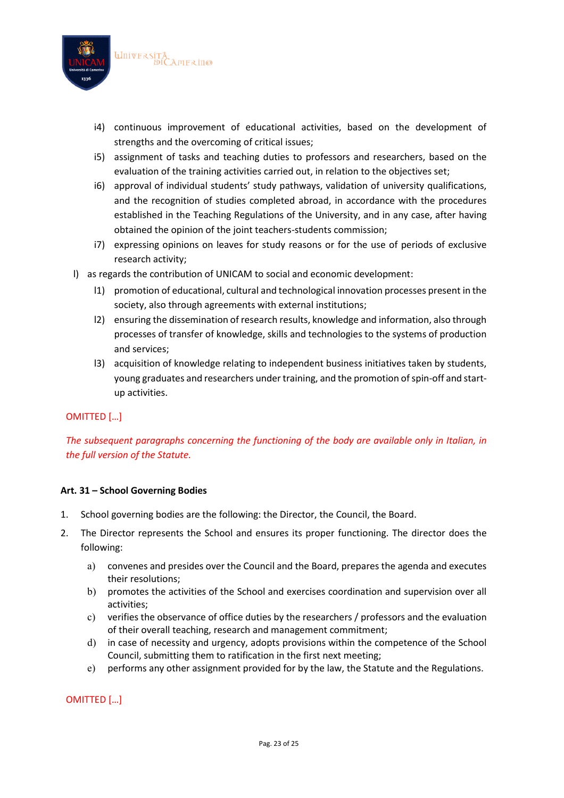

- i4) continuous improvement of educational activities, based on the development of strengths and the overcoming of critical issues;
- i5) assignment of tasks and teaching duties to professors and researchers, based on the evaluation of the training activities carried out, in relation to the objectives set;
- i6) approval of individual students' study pathways, validation of university qualifications, and the recognition of studies completed abroad, in accordance with the procedures established in the Teaching Regulations of the University, and in any case, after having obtained the opinion of the joint teachers-students commission;
- i7) expressing opinions on leaves for study reasons or for the use of periods of exclusive research activity;
- l) as regards the contribution of UNICAM to social and economic development:
	- l1) promotion of educational, cultural and technological innovation processes present in the society, also through agreements with external institutions;
	- l2) ensuring the dissemination of research results, knowledge and information, also through processes of transfer of knowledge, skills and technologies to the systems of production and services;
	- l3) acquisition of knowledge relating to independent business initiatives taken by students, young graduates and researchers under training, and the promotion of spin-off and startup activities.

## OMITTED […]

*The subsequent paragraphs concerning the functioning of the body are available only in Italian, in the full version of the Statute.*

## **Art. 31 – School Governing Bodies**

- 1. School governing bodies are the following: the Director, the Council, the Board.
- 2. The Director represents the School and ensures its proper functioning. The director does the following:
	- a) convenes and presides over the Council and the Board, prepares the agenda and executes their resolutions;
	- b) promotes the activities of the School and exercises coordination and supervision over all activities;
	- c) verifies the observance of office duties by the researchers / professors and the evaluation of their overall teaching, research and management commitment;
	- d) in case of necessity and urgency, adopts provisions within the competence of the School Council, submitting them to ratification in the first next meeting;
	- e) performs any other assignment provided for by the law, the Statute and the Regulations.

OMITTED […]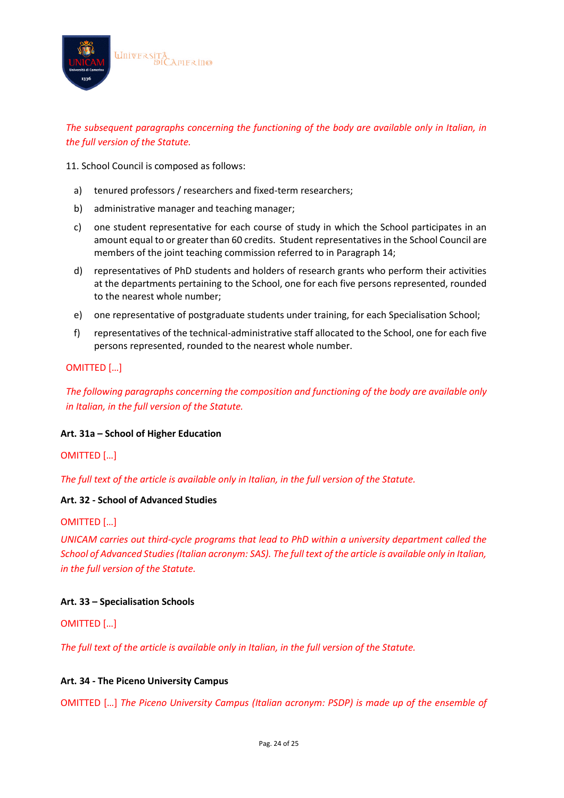

*The subsequent paragraphs concerning the functioning of the body are available only in Italian, in the full version of the Statute.*

11. School Council is composed as follows:

- a) tenured professors / researchers and fixed-term researchers;
- b) administrative manager and teaching manager;
- c) one student representative for each course of study in which the School participates in an amount equal to or greater than 60 credits. Student representatives in the School Council are members of the joint teaching commission referred to in Paragraph 14;
- d) representatives of PhD students and holders of research grants who perform their activities at the departments pertaining to the School, one for each five persons represented, rounded to the nearest whole number;
- e) one representative of postgraduate students under training, for each Specialisation School;
- f) representatives of the technical-administrative staff allocated to the School, one for each five persons represented, rounded to the nearest whole number.

#### OMITTED […]

*The following paragraphs concerning the composition and functioning of the body are available only in Italian, in the full version of the Statute.*

#### **Art. 31a – School of Higher Education**

#### OMITTED […]

*The full text of the article is available only in Italian, in the full version of the Statute.*

#### **Art. 32 - School of Advanced Studies**

#### OMITTED […]

*UNICAM carries out third-cycle programs that lead to PhD within a university department called the School of Advanced Studies (Italian acronym: SAS). The full text of the article is available only in Italian, in the full version of the Statute.*

#### **Art. 33 – Specialisation Schools**

OMITTED […]

*The full text of the article is available only in Italian, in the full version of the Statute.*

#### **Art. 34 - The Piceno University Campus**

OMITTED […] *The Piceno University Campus (Italian acronym: PSDP) is made up of the ensemble of*